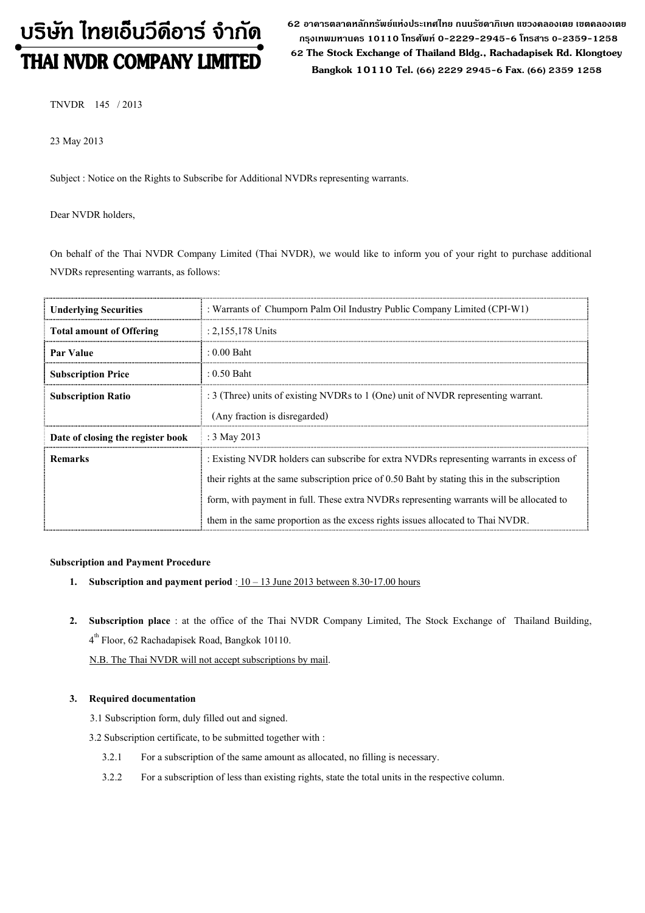# บริษัท ไทยเอ็นวีดีอาร์ จำกัด

62 อาดารตลาดหลักทรัพย์แห่งประเทศไทย ถนนรัซดาภิเษก แขวงดลองเตย เขตดลองเตย กรุงเทพมหานดร 10110 โทรศัพท์ 0-2229-2945-6 โทรสาร 0-2359-1258 **THAI NVDR COMPANY LIMITED** 62 The Stock Exchange of Thailand Bldg., Rachadapisek Rd. Klongtoey Bangkok 10110 Tel. (66) 2229 2945-6 Fax. (66) 2359 1258

TNVDR 145 / 2013

23 May 2013

Subject : Notice on the Rights to Subscribe for Additional NVDRs representing warrants.

Dear NVDR holders,

On behalf of the Thai NVDR Company Limited (Thai NVDR), we would like to inform you of your right to purchase additional NVDRs representing warrants, as follows:

| <b>Underlying Securities</b>      | : Warrants of Chumporn Palm Oil Industry Public Company Limited (CPI-W1)                       |
|-----------------------------------|------------------------------------------------------------------------------------------------|
| <b>Total amount of Offering</b>   | $: 2,155,178$ Units                                                                            |
| <b>Par Value</b>                  | $: 0.00$ Baht                                                                                  |
| <b>Subscription Price</b>         | : $0.50$ Baht                                                                                  |
| <b>Subscription Ratio</b>         | : 3 (Three) units of existing NVDRs to 1 (One) unit of NVDR representing warrant.              |
|                                   | (Any fraction is disregarded)                                                                  |
| Date of closing the register book | : $3$ May 2013                                                                                 |
| <b>Remarks</b>                    | : Existing NVDR holders can subscribe for extra NVDRs representing warrants in excess of       |
|                                   | their rights at the same subscription price of $0.50$ Baht by stating this in the subscription |
|                                   | form, with payment in full. These extra NVDRs representing warrants will be allocated to       |
|                                   | them in the same proportion as the excess rights issues allocated to Thai NVDR.                |

#### Subscription and Payment Procedure

- 1. Subscription and payment period :  $10 13$  June 2013 between 8.30-17.00 hours
- 2. Subscription place : at the office of the Thai NVDR Company Limited, The Stock Exchange of Thailand Building, 4<sup>th</sup> Floor, 62 Rachadapisek Road, Bangkok 10110.

N.B. The Thai NVDR will not accept subscriptions by mail.

#### 3. Required documentation

- 3.1 Subscription form, duly filled out and signed.
- 3.2 Subscription certificate, to be submitted together with :
	- 3.2.1 For a subscription of the same amount as allocated, no filling is necessary.
	- 3.2.2 For a subscription of less than existing rights, state the total units in the respective column.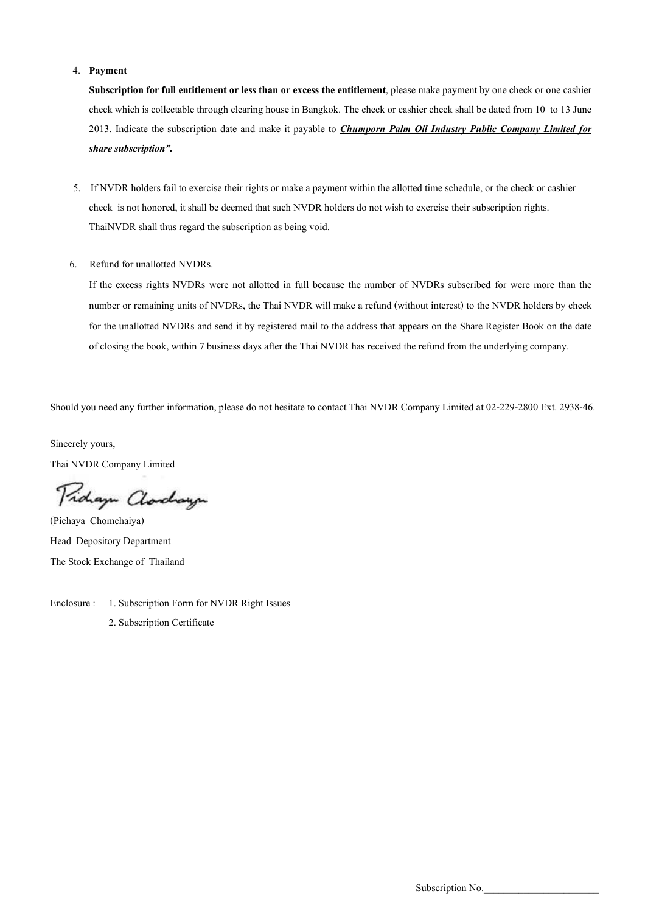#### 4. Payment

Subscription for full entitlement or less than or excess the entitlement, please make payment by one check or one cashier check which is collectable through clearing house in Bangkok. The check or cashier check shall be dated from 10 to 13 June 2013. Indicate the subscription date and make it payable to *Chumporn Palm Oil Industry Public Company Limited for* share subscription".

- 5. If NVDR holders fail to exercise their rights or make a payment within the allotted time schedule, or the check or cashier check is not honored, it shall be deemed that such NVDR holders do not wish to exercise their subscription rights. ThaiNVDR shall thus regard the subscription as being void.
- 6. Refund for unallotted NVDRs.

If the excess rights NVDRs were not allotted in full because the number of NVDRs subscribed for were more than the number or remaining units of NVDRs, the Thai NVDR will make a refund (without interest) to the NVDR holders by check for the unallotted NVDRs and send it by registered mail to the address that appears on the Share Register Book on the date of closing the book, within 7 business days after the Thai NVDR has received the refund from the underlying company.

Should you need any further information, please do not hesitate to contact Thai NVDR Company Limited at 02-229-2800 Ext. 2938-46.

Sincerely yours, Thai NVDR Company Limited

Proham Charchauge

(Pichaya Chomchaiya) Head Depository Department The Stock Exchange of Thailand

Enclosure : 1. Subscription Form for NVDR Right Issues 2. Subscription Certificate